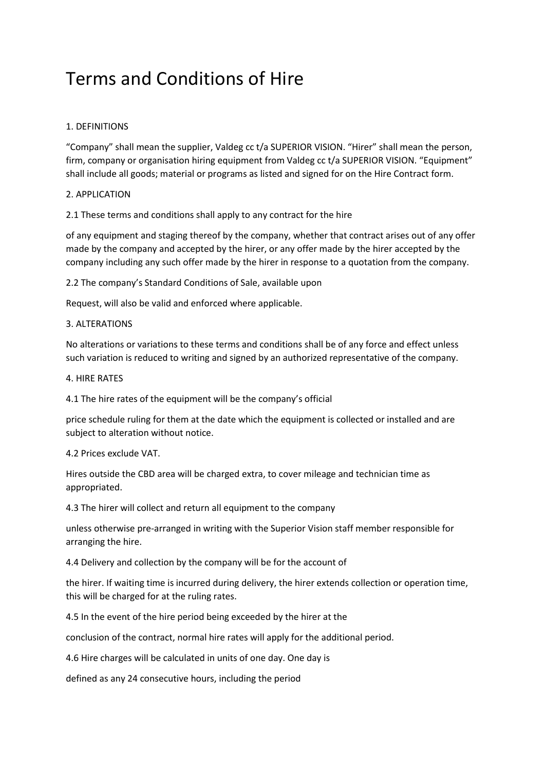# Terms and Conditions of Hire

# 1. DEFINITIONS

"Company" shall mean the supplier, Valdeg cc t/a SUPERIOR VISION. "Hirer" shall mean the person, firm, company or organisation hiring equipment from Valdeg cc t/a SUPERIOR VISION. "Equipment" shall include all goods; material or programs as listed and signed for on the Hire Contract form.

# 2. APPLICATION

2.1 These terms and conditions shall apply to any contract for the hire

of any equipment and staging thereof by the company, whether that contract arises out of any offer made by the company and accepted by the hirer, or any offer made by the hirer accepted by the company including any such offer made by the hirer in response to a quotation from the company.

2.2 The company's Standard Conditions of Sale, available upon

Request, will also be valid and enforced where applicable.

# 3. ALTERATIONS

No alterations or variations to these terms and conditions shall be of any force and effect unless such variation is reduced to writing and signed by an authorized representative of the company.

# 4. HIRE RATES

4.1 The hire rates of the equipment will be the company's official

price schedule ruling for them at the date which the equipment is collected or installed and are subject to alteration without notice.

# 4.2 Prices exclude VAT.

Hires outside the CBD area will be charged extra, to cover mileage and technician time as appropriated.

4.3 The hirer will collect and return all equipment to the company

unless otherwise pre-arranged in writing with the Superior Vision staff member responsible for arranging the hire.

4.4 Delivery and collection by the company will be for the account of

the hirer. If waiting time is incurred during delivery, the hirer extends collection or operation time, this will be charged for at the ruling rates.

4.5 In the event of the hire period being exceeded by the hirer at the

conclusion of the contract, normal hire rates will apply for the additional period.

4.6 Hire charges will be calculated in units of one day. One day is

defined as any 24 consecutive hours, including the period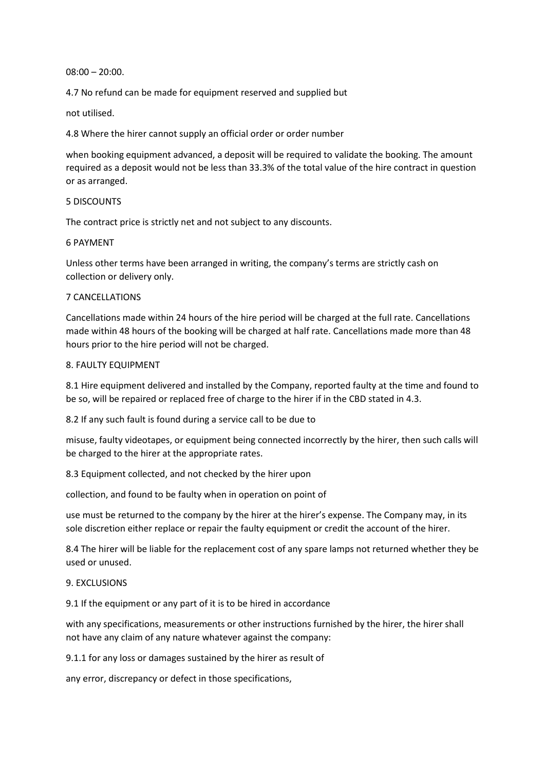$08:00 - 20:00$ .

4.7 No refund can be made for equipment reserved and supplied but

not utilised.

4.8 Where the hirer cannot supply an official order or order number

when booking equipment advanced, a deposit will be required to validate the booking. The amount required as a deposit would not be less than 33.3% of the total value of the hire contract in question or as arranged.

#### 5 DISCOUNTS

The contract price is strictly net and not subject to any discounts.

# 6 PAYMENT

Unless other terms have been arranged in writing, the company's terms are strictly cash on collection or delivery only.

#### 7 CANCELLATIONS

Cancellations made within 24 hours of the hire period will be charged at the full rate. Cancellations made within 48 hours of the booking will be charged at half rate. Cancellations made more than 48 hours prior to the hire period will not be charged.

#### 8. FAULTY EQUIPMENT

8.1 Hire equipment delivered and installed by the Company, reported faulty at the time and found to be so, will be repaired or replaced free of charge to the hirer if in the CBD stated in 4.3.

8.2 If any such fault is found during a service call to be due to

misuse, faulty videotapes, or equipment being connected incorrectly by the hirer, then such calls will be charged to the hirer at the appropriate rates.

8.3 Equipment collected, and not checked by the hirer upon

collection, and found to be faulty when in operation on point of

use must be returned to the company by the hirer at the hirer's expense. The Company may, in its sole discretion either replace or repair the faulty equipment or credit the account of the hirer.

8.4 The hirer will be liable for the replacement cost of any spare lamps not returned whether they be used or unused.

# 9. EXCLUSIONS

9.1 If the equipment or any part of it is to be hired in accordance

with any specifications, measurements or other instructions furnished by the hirer, the hirer shall not have any claim of any nature whatever against the company:

9.1.1 for any loss or damages sustained by the hirer as result of

any error, discrepancy or defect in those specifications,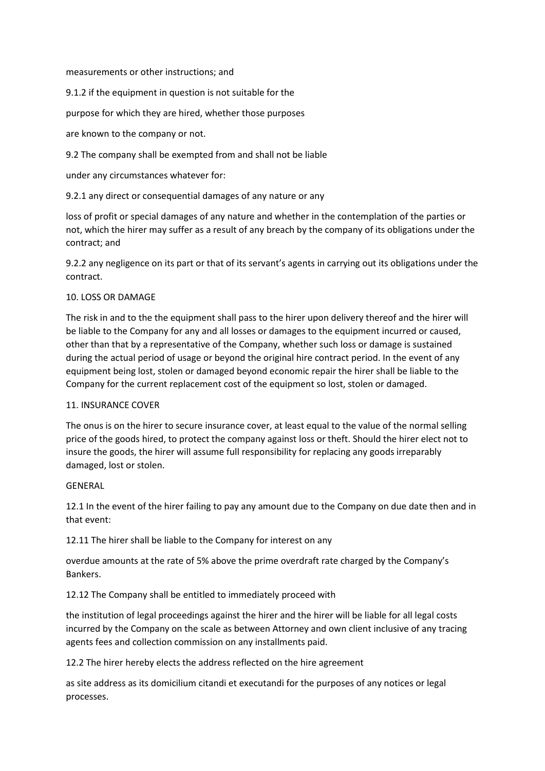measurements or other instructions; and

9.1.2 if the equipment in question is not suitable for the

purpose for which they are hired, whether those purposes

are known to the company or not.

9.2 The company shall be exempted from and shall not be liable

under any circumstances whatever for:

9.2.1 any direct or consequential damages of any nature or any

loss of profit or special damages of any nature and whether in the contemplation of the parties or not, which the hirer may suffer as a result of any breach by the company of its obligations under the contract; and

9.2.2 any negligence on its part or that of its servant's agents in carrying out its obligations under the contract.

# 10. LOSS OR DAMAGE

The risk in and to the the equipment shall pass to the hirer upon delivery thereof and the hirer will be liable to the Company for any and all losses or damages to the equipment incurred or caused, other than that by a representative of the Company, whether such loss or damage is sustained during the actual period of usage or beyond the original hire contract period. In the event of any equipment being lost, stolen or damaged beyond economic repair the hirer shall be liable to the Company for the current replacement cost of the equipment so lost, stolen or damaged.

# 11. INSURANCE COVER

The onus is on the hirer to secure insurance cover, at least equal to the value of the normal selling price of the goods hired, to protect the company against loss or theft. Should the hirer elect not to insure the goods, the hirer will assume full responsibility for replacing any goods irreparably damaged, lost or stolen.

# GENERAL

12.1 In the event of the hirer failing to pay any amount due to the Company on due date then and in that event:

12.11 The hirer shall be liable to the Company for interest on any

overdue amounts at the rate of 5% above the prime overdraft rate charged by the Company's Bankers.

12.12 The Company shall be entitled to immediately proceed with

the institution of legal proceedings against the hirer and the hirer will be liable for all legal costs incurred by the Company on the scale as between Attorney and own client inclusive of any tracing agents fees and collection commission on any installments paid.

12.2 The hirer hereby elects the address reflected on the hire agreement

as site address as its domicilium citandi et executandi for the purposes of any notices or legal processes.